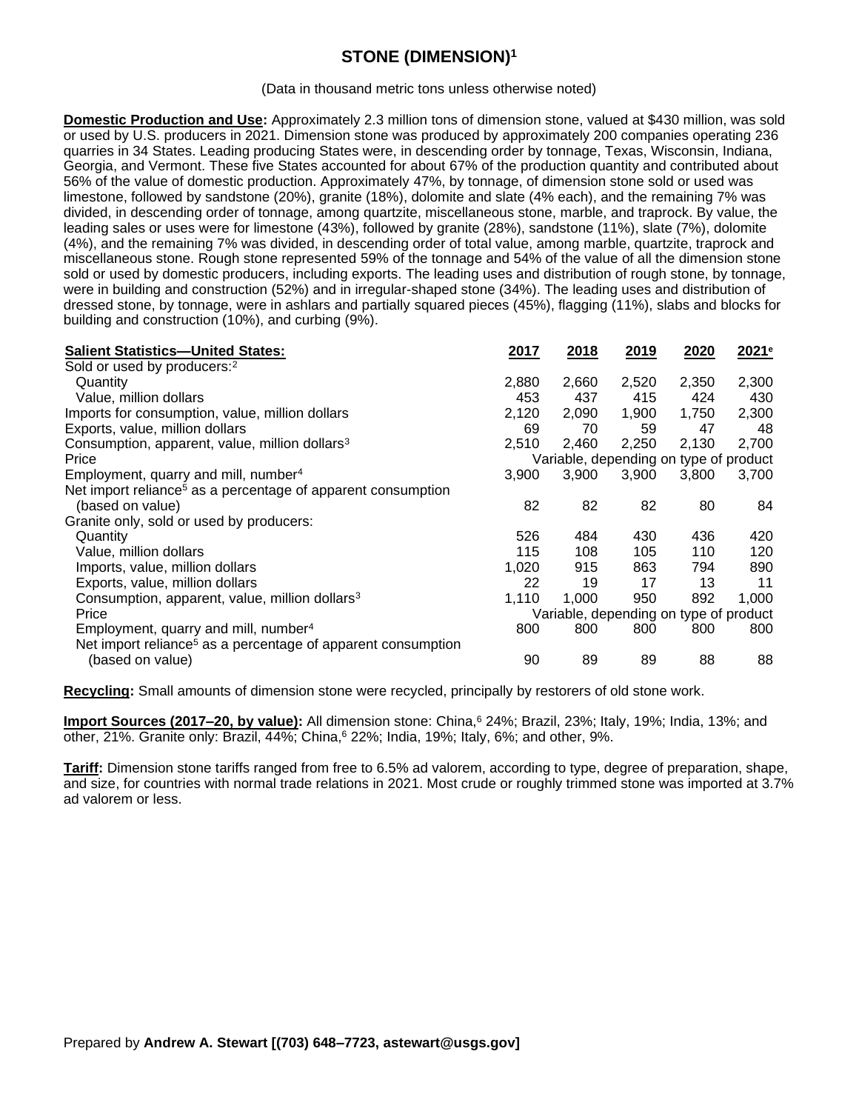## **STONE (DIMENSION)<sup>1</sup>**

(Data in thousand metric tons unless otherwise noted)

**Domestic Production and Use:** Approximately 2.3 million tons of dimension stone, valued at \$430 million, was sold or used by U.S. producers in 2021. Dimension stone was produced by approximately 200 companies operating 236 quarries in 34 States. Leading producing States were, in descending order by tonnage, Texas, Wisconsin, Indiana, Georgia, and Vermont. These five States accounted for about 67% of the production quantity and contributed about 56% of the value of domestic production. Approximately 47%, by tonnage, of dimension stone sold or used was limestone, followed by sandstone (20%), granite (18%), dolomite and slate (4% each), and the remaining 7% was divided, in descending order of tonnage, among quartzite, miscellaneous stone, marble, and traprock. By value, the leading sales or uses were for limestone (43%), followed by granite (28%), sandstone (11%), slate (7%), dolomite (4%), and the remaining 7% was divided, in descending order of total value, among marble, quartzite, traprock and miscellaneous stone. Rough stone represented 59% of the tonnage and 54% of the value of all the dimension stone sold or used by domestic producers, including exports. The leading uses and distribution of rough stone, by tonnage, were in building and construction (52%) and in irregular-shaped stone (34%). The leading uses and distribution of dressed stone, by tonnage, were in ashlars and partially squared pieces (45%), flagging (11%), slabs and blocks for building and construction (10%), and curbing (9%).

| <b>Salient Statistics-United States:</b>                                 | 2017                                   | 2018  | 2019  | 2020  | 2021 <sup>e</sup> |
|--------------------------------------------------------------------------|----------------------------------------|-------|-------|-------|-------------------|
| Sold or used by producers: <sup>2</sup>                                  |                                        |       |       |       |                   |
| Quantity                                                                 | 2,880                                  | 2,660 | 2,520 | 2,350 | 2,300             |
| Value, million dollars                                                   | 453                                    | 437   | 415   | 424   | 430               |
| Imports for consumption, value, million dollars                          | 2,120                                  | 2,090 | 1,900 | 1,750 | 2,300             |
| Exports, value, million dollars                                          | 69                                     | 70    | 59    | 47    | 48                |
| Consumption, apparent, value, million dollars <sup>3</sup>               | 2,510                                  | 2,460 | 2,250 | 2,130 | 2,700             |
| Price                                                                    | Variable, depending on type of product |       |       |       |                   |
| Employment, quarry and mill, number <sup>4</sup>                         | 3,900                                  | 3,900 | 3,900 | 3,800 | 3,700             |
| Net import reliance <sup>5</sup> as a percentage of apparent consumption |                                        |       |       |       |                   |
| (based on value)                                                         | 82                                     | 82    | 82    | 80    | 84                |
| Granite only, sold or used by producers:                                 |                                        |       |       |       |                   |
| Quantity                                                                 | 526                                    | 484   | 430   | 436   | 420               |
| Value, million dollars                                                   | 115                                    | 108   | 105   | 110   | 120               |
| Imports, value, million dollars                                          | 1,020                                  | 915   | 863   | 794   | 890               |
| Exports, value, million dollars                                          | 22                                     | 19    | 17    | 13    | 11                |
| Consumption, apparent, value, million dollars <sup>3</sup>               | 1,110                                  | 1,000 | 950   | 892   | 1,000             |
| Price                                                                    | Variable, depending on type of product |       |       |       |                   |
| Employment, quarry and mill, number <sup>4</sup>                         | 800                                    | 800   | 800   | 800   | 800               |
| Net import reliance <sup>5</sup> as a percentage of apparent consumption |                                        |       |       |       |                   |
| (based on value)                                                         | 90                                     | 89    | 89    | 88    | 88                |

**Recycling:** Small amounts of dimension stone were recycled, principally by restorers of old stone work.

**Import Sources (2017–20, by value):** All dimension stone: China,<sup>6</sup> 24%; Brazil, 23%; Italy, 19%; India, 13%; and other, 21%. Granite only: Brazil, 44%; China,<sup>6</sup> 22%; India, 19%; Italy, 6%; and other, 9%.

**Tariff:** Dimension stone tariffs ranged from free to 6.5% ad valorem, according to type, degree of preparation, shape, and size, for countries with normal trade relations in 2021. Most crude or roughly trimmed stone was imported at 3.7% ad valorem or less.